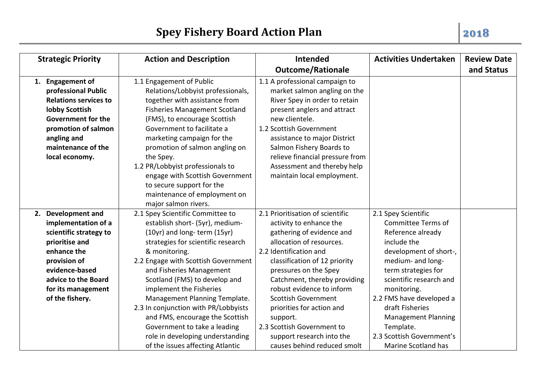| <b>Strategic Priority</b> |                                                                                                                                                                                                        | <b>Action and Description</b>                                                                                                                                                                                                                                                                                                                                                                                                        | <b>Intended</b>                                                                                                                                                                                                                                                                                                                                                            | <b>Activities Undertaken</b>                                                                                                                                                                                                                                                                   | <b>Review Date</b> |
|---------------------------|--------------------------------------------------------------------------------------------------------------------------------------------------------------------------------------------------------|--------------------------------------------------------------------------------------------------------------------------------------------------------------------------------------------------------------------------------------------------------------------------------------------------------------------------------------------------------------------------------------------------------------------------------------|----------------------------------------------------------------------------------------------------------------------------------------------------------------------------------------------------------------------------------------------------------------------------------------------------------------------------------------------------------------------------|------------------------------------------------------------------------------------------------------------------------------------------------------------------------------------------------------------------------------------------------------------------------------------------------|--------------------|
|                           |                                                                                                                                                                                                        |                                                                                                                                                                                                                                                                                                                                                                                                                                      | <b>Outcome/Rationale</b>                                                                                                                                                                                                                                                                                                                                                   |                                                                                                                                                                                                                                                                                                | and Status         |
|                           | 1. Engagement of<br>professional Public<br><b>Relations services to</b><br>lobby Scottish<br><b>Government for the</b><br>promotion of salmon<br>angling and<br>maintenance of the<br>local economy.   | 1.1 Engagement of Public<br>Relations/Lobbyist professionals,<br>together with assistance from<br><b>Fisheries Management Scotland</b><br>(FMS), to encourage Scottish<br>Government to facilitate a<br>marketing campaign for the<br>promotion of salmon angling on<br>the Spey.<br>1.2 PR/Lobbyist professionals to<br>engage with Scottish Government<br>to secure support for the<br>maintenance of employment on                | 1.1 A professional campaign to<br>market salmon angling on the<br>River Spey in order to retain<br>present anglers and attract<br>new clientele.<br>1.2 Scottish Government<br>assistance to major District<br>Salmon Fishery Boards to<br>relieve financial pressure from<br>Assessment and thereby help<br>maintain local employment.                                    |                                                                                                                                                                                                                                                                                                |                    |
|                           |                                                                                                                                                                                                        | major salmon rivers.                                                                                                                                                                                                                                                                                                                                                                                                                 |                                                                                                                                                                                                                                                                                                                                                                            |                                                                                                                                                                                                                                                                                                |                    |
|                           | 2. Development and<br>implementation of a<br>scientific strategy to<br>prioritise and<br>enhance the<br>provision of<br>evidence-based<br>advice to the Board<br>for its management<br>of the fishery. | 2.1 Spey Scientific Committee to<br>establish short- (5yr), medium-<br>(10yr) and long-term (15yr)<br>strategies for scientific research<br>& monitoring.<br>2.2 Engage with Scottish Government<br>and Fisheries Management<br>Scotland (FMS) to develop and<br>implement the Fisheries<br>Management Planning Template.<br>2.3 In conjunction with PR/Lobbyists<br>and FMS, encourage the Scottish<br>Government to take a leading | 2.1 Prioritisation of scientific<br>activity to enhance the<br>gathering of evidence and<br>allocation of resources.<br>2.2 Identification and<br>classification of 12 priority<br>pressures on the Spey<br>Catchment, thereby providing<br>robust evidence to inform<br><b>Scottish Government</b><br>priorities for action and<br>support.<br>2.3 Scottish Government to | 2.1 Spey Scientific<br><b>Committee Terms of</b><br>Reference already<br>include the<br>development of short-,<br>medium- and long-<br>term strategies for<br>scientific research and<br>monitoring.<br>2.2 FMS have developed a<br>draft Fisheries<br><b>Management Planning</b><br>Template. |                    |
|                           |                                                                                                                                                                                                        | role in developing understanding<br>of the issues affecting Atlantic                                                                                                                                                                                                                                                                                                                                                                 | support research into the<br>causes behind reduced smolt                                                                                                                                                                                                                                                                                                                   | 2.3 Scottish Government's<br>Marine Scotland has                                                                                                                                                                                                                                               |                    |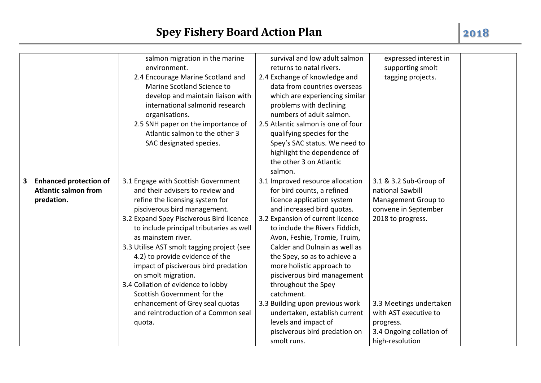|                               | salmon migration in the marine                                       | survival and low adult salmon      | expressed interest in    |  |
|-------------------------------|----------------------------------------------------------------------|------------------------------------|--------------------------|--|
|                               | environment.                                                         | returns to natal rivers.           | supporting smolt         |  |
|                               | 2.4 Encourage Marine Scotland and                                    | 2.4 Exchange of knowledge and      | tagging projects.        |  |
|                               | Marine Scotland Science to                                           | data from countries overseas       |                          |  |
|                               | develop and maintain liaison with                                    | which are experiencing similar     |                          |  |
|                               | international salmonid research                                      | problems with declining            |                          |  |
|                               | organisations.                                                       | numbers of adult salmon.           |                          |  |
|                               |                                                                      | 2.5 Atlantic salmon is one of four |                          |  |
|                               | 2.5 SNH paper on the importance of<br>Atlantic salmon to the other 3 |                                    |                          |  |
|                               |                                                                      | qualifying species for the         |                          |  |
|                               | SAC designated species.                                              | Spey's SAC status. We need to      |                          |  |
|                               |                                                                      | highlight the dependence of        |                          |  |
|                               |                                                                      | the other 3 on Atlantic            |                          |  |
|                               |                                                                      | salmon.                            |                          |  |
| <b>Enhanced protection of</b> | 3.1 Engage with Scottish Government                                  | 3.1 Improved resource allocation   | 3.1 & 3.2 Sub-Group of   |  |
| <b>Atlantic salmon from</b>   | and their advisers to review and                                     | for bird counts, a refined         | national Sawbill         |  |
| predation.                    | refine the licensing system for                                      | licence application system         | Management Group to      |  |
|                               | pisciverous bird management.                                         | and increased bird quotas.         | convene in September     |  |
|                               | 3.2 Expand Spey Pisciverous Bird licence                             | 3.2 Expansion of current licence   | 2018 to progress.        |  |
|                               | to include principal tributaries as well                             | to include the Rivers Fiddich,     |                          |  |
|                               | as mainstem river.                                                   | Avon, Feshie, Tromie, Truim,       |                          |  |
|                               | 3.3 Utilise AST smolt tagging project (see                           | Calder and Dulnain as well as      |                          |  |
|                               | 4.2) to provide evidence of the                                      | the Spey, so as to achieve a       |                          |  |
|                               | impact of pisciverous bird predation                                 | more holistic approach to          |                          |  |
|                               | on smolt migration.                                                  | pisciverous bird management        |                          |  |
|                               | 3.4 Collation of evidence to lobby                                   | throughout the Spey                |                          |  |
|                               | Scottish Government for the                                          | catchment.                         |                          |  |
|                               | enhancement of Grey seal quotas                                      | 3.3 Building upon previous work    | 3.3 Meetings undertaken  |  |
|                               | and reintroduction of a Common seal                                  | undertaken, establish current      | with AST executive to    |  |
|                               | quota.                                                               | levels and impact of               | progress.                |  |
|                               |                                                                      | pisciverous bird predation on      | 3.4 Ongoing collation of |  |
|                               |                                                                      |                                    |                          |  |
|                               |                                                                      | smolt runs.                        | high-resolution          |  |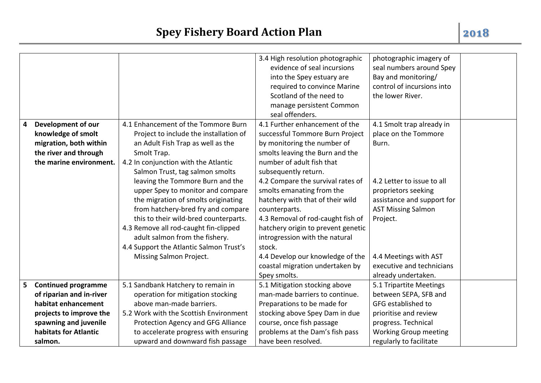| 4 | Development of our<br>knowledge of smolt                                   | 4.1 Enhancement of the Tommore Burn<br>Project to include the installation of                                                                                                                                                                                                                                                                                                                                                                                               | 3.4 High resolution photographic<br>evidence of seal incursions<br>into the Spey estuary are<br>required to convince Marine<br>Scotland of the need to<br>manage persistent Common<br>seal offenders.<br>4.1 Further enhancement of the<br>successful Tommore Burn Project                                                                                                                                                               | photographic imagery of<br>seal numbers around Spey<br>Bay and monitoring/<br>control of incursions into<br>the lower River.<br>4.1 Smolt trap already in<br>place on the Tommore       |
|---|----------------------------------------------------------------------------|-----------------------------------------------------------------------------------------------------------------------------------------------------------------------------------------------------------------------------------------------------------------------------------------------------------------------------------------------------------------------------------------------------------------------------------------------------------------------------|------------------------------------------------------------------------------------------------------------------------------------------------------------------------------------------------------------------------------------------------------------------------------------------------------------------------------------------------------------------------------------------------------------------------------------------|-----------------------------------------------------------------------------------------------------------------------------------------------------------------------------------------|
|   | migration, both within<br>the river and through<br>the marine environment. | an Adult Fish Trap as well as the<br>Smolt Trap.<br>4.2 In conjunction with the Atlantic<br>Salmon Trust, tag salmon smolts<br>leaving the Tommore Burn and the<br>upper Spey to monitor and compare<br>the migration of smolts originating<br>from hatchery-bred fry and compare<br>this to their wild-bred counterparts.<br>4.3 Remove all rod-caught fin-clipped<br>adult salmon from the fishery.<br>4.4 Support the Atlantic Salmon Trust's<br>Missing Salmon Project. | by monitoring the number of<br>smolts leaving the Burn and the<br>number of adult fish that<br>subsequently return.<br>4.2 Compare the survival rates of<br>smolts emanating from the<br>hatchery with that of their wild<br>counterparts.<br>4.3 Removal of rod-caught fish of<br>hatchery origin to prevent genetic<br>introgression with the natural<br>stock.<br>4.4 Develop our knowledge of the<br>coastal migration undertaken by | Burn.<br>4.2 Letter to issue to all<br>proprietors seeking<br>assistance and support for<br><b>AST Missing Salmon</b><br>Project.<br>4.4 Meetings with AST<br>executive and technicians |
| 5 | <b>Continued programme</b>                                                 | 5.1 Sandbank Hatchery to remain in                                                                                                                                                                                                                                                                                                                                                                                                                                          | Spey smolts.<br>5.1 Mitigation stocking above                                                                                                                                                                                                                                                                                                                                                                                            | already undertaken.<br>5.1 Tripartite Meetings                                                                                                                                          |
|   | of riparian and in-river                                                   | operation for mitigation stocking                                                                                                                                                                                                                                                                                                                                                                                                                                           | man-made barriers to continue.                                                                                                                                                                                                                                                                                                                                                                                                           | between SEPA, SFB and                                                                                                                                                                   |
|   | habitat enhancement                                                        | above man-made barriers.                                                                                                                                                                                                                                                                                                                                                                                                                                                    | Preparations to be made for                                                                                                                                                                                                                                                                                                                                                                                                              | GFG established to                                                                                                                                                                      |
|   | projects to improve the                                                    | 5.2 Work with the Scottish Environment                                                                                                                                                                                                                                                                                                                                                                                                                                      | stocking above Spey Dam in due                                                                                                                                                                                                                                                                                                                                                                                                           | prioritise and review                                                                                                                                                                   |
|   | spawning and juvenile                                                      | Protection Agency and GFG Alliance                                                                                                                                                                                                                                                                                                                                                                                                                                          | course, once fish passage                                                                                                                                                                                                                                                                                                                                                                                                                | progress. Technical                                                                                                                                                                     |
|   | habitats for Atlantic                                                      | to accelerate progress with ensuring                                                                                                                                                                                                                                                                                                                                                                                                                                        | problems at the Dam's fish pass                                                                                                                                                                                                                                                                                                                                                                                                          | <b>Working Group meeting</b>                                                                                                                                                            |
|   | salmon.                                                                    | upward and downward fish passage                                                                                                                                                                                                                                                                                                                                                                                                                                            | have been resolved.                                                                                                                                                                                                                                                                                                                                                                                                                      | regularly to facilitate                                                                                                                                                                 |